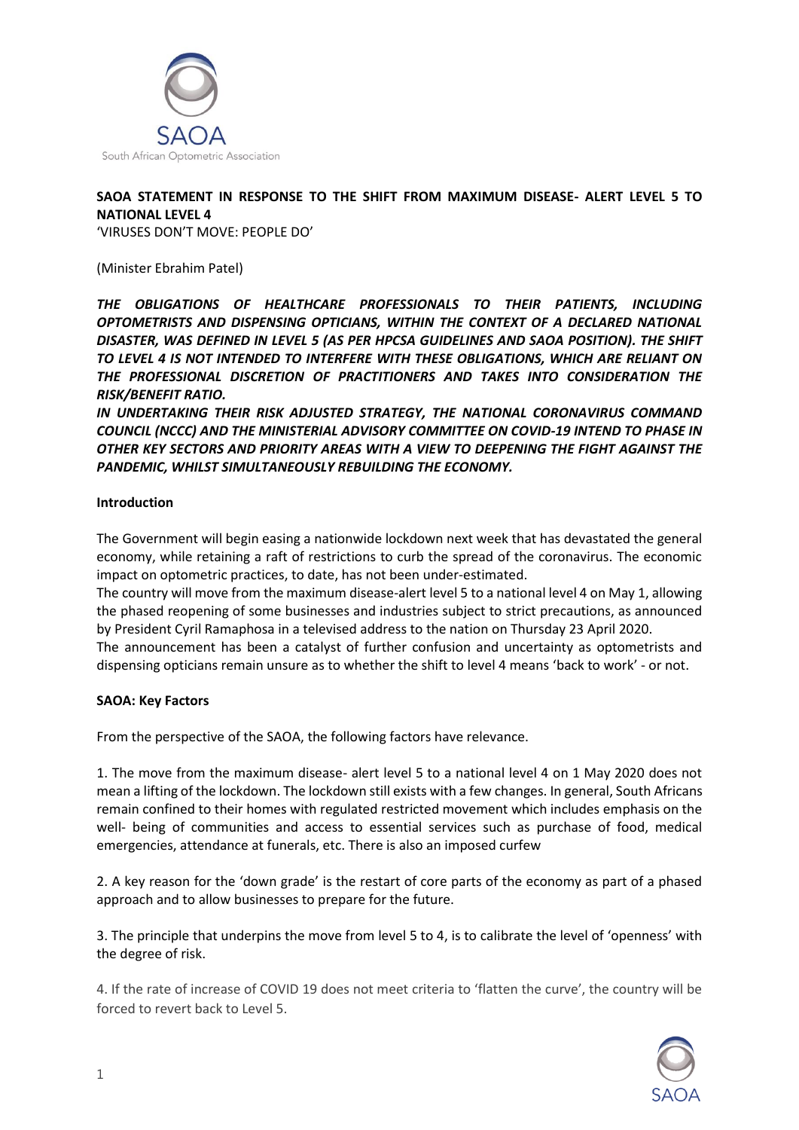

## **SAOA STATEMENT IN RESPONSE TO THE SHIFT FROM MAXIMUM DISEASE- ALERT LEVEL 5 TO NATIONAL LEVEL 4**

'VIRUSES DON'T MOVE: PEOPLE DO'

(Minister Ebrahim Patel)

*THE OBLIGATIONS OF HEALTHCARE PROFESSIONALS TO THEIR PATIENTS, INCLUDING OPTOMETRISTS AND DISPENSING OPTICIANS, WITHIN THE CONTEXT OF A DECLARED NATIONAL DISASTER, WAS DEFINED IN LEVEL 5 (AS PER HPCSA GUIDELINES AND SAOA POSITION). THE SHIFT TO LEVEL 4 IS NOT INTENDED TO INTERFERE WITH THESE OBLIGATIONS, WHICH ARE RELIANT ON THE PROFESSIONAL DISCRETION OF PRACTITIONERS AND TAKES INTO CONSIDERATION THE RISK/BENEFIT RATIO.* 

*IN UNDERTAKING THEIR RISK ADJUSTED STRATEGY, THE NATIONAL CORONAVIRUS COMMAND COUNCIL (NCCC) AND THE MINISTERIAL ADVISORY COMMITTEE ON COVID-19 INTEND TO PHASE IN OTHER KEY SECTORS AND PRIORITY AREAS WITH A VIEW TO DEEPENING THE FIGHT AGAINST THE PANDEMIC, WHILST SIMULTANEOUSLY REBUILDING THE ECONOMY.* 

## **Introduction**

The Government will begin easing a nationwide lockdown next week that has devastated the general economy, while retaining a raft of restrictions to curb the spread of the coronavirus. The economic impact on optometric practices, to date, has not been under-estimated.

The country will move from the maximum disease-alert level 5 to a national level 4 on May 1, allowing the phased reopening of some businesses and industries subject to strict precautions, as announced by President Cyril Ramaphosa in a televised address to the nation on Thursday 23 April 2020.

The announcement has been a catalyst of further confusion and uncertainty as optometrists and dispensing opticians remain unsure as to whether the shift to level 4 means 'back to work' - or not.

## **SAOA: Key Factors**

From the perspective of the SAOA, the following factors have relevance.

1. The move from the maximum disease- alert level 5 to a national level 4 on 1 May 2020 does not mean a lifting of the lockdown. The lockdown still exists with a few changes. In general, South Africans remain confined to their homes with regulated restricted movement which includes emphasis on the well- being of communities and access to essential services such as purchase of food, medical emergencies, attendance at funerals, etc. There is also an imposed curfew

2. A key reason for the 'down grade' is the restart of core parts of the economy as part of a phased approach and to allow businesses to prepare for the future.

3. The principle that underpins the move from level 5 to 4, is to calibrate the level of 'openness' with the degree of risk.

4. If the rate of increase of COVID 19 does not meet criteria to 'flatten the curve', the country will be forced to revert back to Level 5.

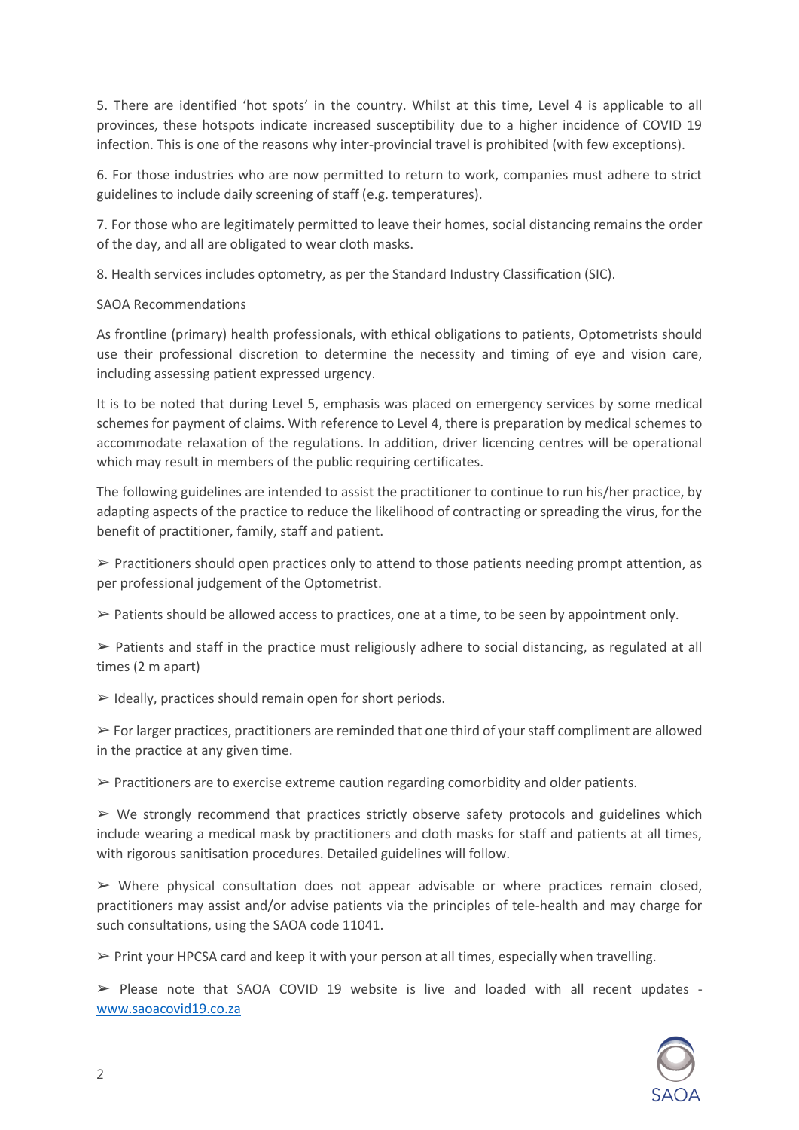5. There are identified 'hot spots' in the country. Whilst at this time, Level 4 is applicable to all provinces, these hotspots indicate increased susceptibility due to a higher incidence of COVID 19 infection. This is one of the reasons why inter-provincial travel is prohibited (with few exceptions).

6. For those industries who are now permitted to return to work, companies must adhere to strict guidelines to include daily screening of staff (e.g. temperatures).

7. For those who are legitimately permitted to leave their homes, social distancing remains the order of the day, and all are obligated to wear cloth masks.

8. Health services includes optometry, as per the Standard Industry Classification (SIC).

## SAOA Recommendations

As frontline (primary) health professionals, with ethical obligations to patients, Optometrists should use their professional discretion to determine the necessity and timing of eye and vision care, including assessing patient expressed urgency.

It is to be noted that during Level 5, emphasis was placed on emergency services by some medical schemes for payment of claims. With reference to Level 4, there is preparation by medical schemes to accommodate relaxation of the regulations. In addition, driver licencing centres will be operational which may result in members of the public requiring certificates.

The following guidelines are intended to assist the practitioner to continue to run his/her practice, by adapting aspects of the practice to reduce the likelihood of contracting or spreading the virus, for the benefit of practitioner, family, staff and patient.

 $\triangleright$  Practitioners should open practices only to attend to those patients needing prompt attention, as per professional judgement of the Optometrist.

 $\triangleright$  Patients should be allowed access to practices, one at a time, to be seen by appointment only.

 $\triangleright$  Patients and staff in the practice must religiously adhere to social distancing, as regulated at all times (2 m apart)

 $\triangleright$  Ideally, practices should remain open for short periods.

 $\triangleright$  For larger practices, practitioners are reminded that one third of your staff compliment are allowed in the practice at any given time.

 $\triangleright$  Practitioners are to exercise extreme caution regarding comorbidity and older patients.

 $\triangleright$  We strongly recommend that practices strictly observe safety protocols and guidelines which include wearing a medical mask by practitioners and cloth masks for staff and patients at all times, with rigorous sanitisation procedures. Detailed guidelines will follow.

 $\triangleright$  Where physical consultation does not appear advisable or where practices remain closed, practitioners may assist and/or advise patients via the principles of tele-health and may charge for such consultations, using the SAOA code 11041.

 $\triangleright$  Print your HPCSA card and keep it with your person at all times, especially when travelling.

 $\triangleright$  Please note that SAOA COVID 19 website is live and loaded with all recent updates [www.saoacovid19.co.za](http://www.saoacovid19.co.za/)